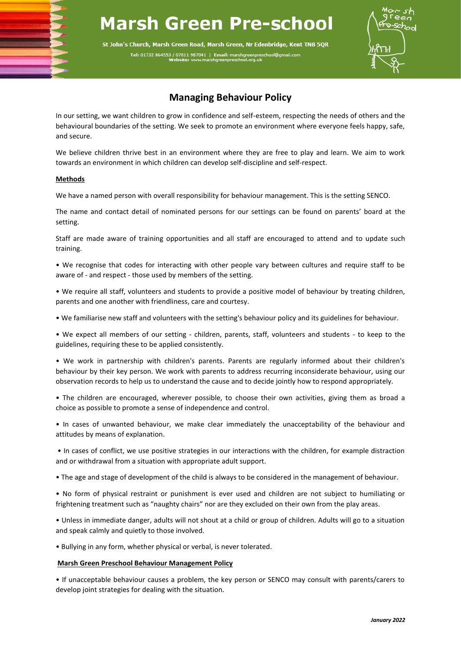# **Marsh Green Pre-school**

St John's Church, Marsh Green Road, Marsh Green, Nr Edenbridge, Kent TN8 5QR Tel: 01732 864553 / 07811 987041 | Email: marshgreenpresc



# **Managing Behaviour Policy**

In our setting, we want children to grow in confidence and self-esteem, respecting the needs of others and the behavioural boundaries of the setting. We seek to promote an environment where everyone feels happy, safe, and secure.

We believe children thrive best in an environment where they are free to play and learn. We aim to work towards an environment in which children can develop self-discipline and self-respect.

## **Methods**

We have a named person with overall responsibility for behaviour management. This is the setting SENCO.

The name and contact detail of nominated persons for our settings can be found on parents' board at the setting.

Staff are made aware of training opportunities and all staff are encouraged to attend and to update such training.

• We recognise that codes for interacting with other people vary between cultures and require staff to be aware of - and respect - those used by members of the setting.

• We require all staff, volunteers and students to provide a positive model of behaviour by treating children, parents and one another with friendliness, care and courtesy.

• We familiarise new staff and volunteers with the setting's behaviour policy and its guidelines for behaviour.

• We expect all members of our setting - children, parents, staff, volunteers and students - to keep to the guidelines, requiring these to be applied consistently.

• We work in partnership with children's parents. Parents are regularly informed about their children's behaviour by their key person. We work with parents to address recurring inconsiderate behaviour, using our observation records to help us to understand the cause and to decide jointly how to respond appropriately.

• The children are encouraged, wherever possible, to choose their own activities, giving them as broad a choice as possible to promote a sense of independence and control.

• In cases of unwanted behaviour, we make clear immediately the unacceptability of the behaviour and attitudes by means of explanation.

• In cases of conflict, we use positive strategies in our interactions with the children, for example distraction and or withdrawal from a situation with appropriate adult support.

• The age and stage of development of the child is always to be considered in the management of behaviour.

• No form of physical restraint or punishment is ever used and children are not subject to humiliating or frightening treatment such as "naughty chairs" nor are they excluded on their own from the play areas.

• Unless in immediate danger, adults will not shout at a child or group of children. Adults will go to a situation and speak calmly and quietly to those involved.

• Bullying in any form, whether physical or verbal, is never tolerated.

### **Marsh Green Preschool Behaviour Management Policy**

• If unacceptable behaviour causes a problem, the key person or SENCO may consult with parents/carers to develop joint strategies for dealing with the situation.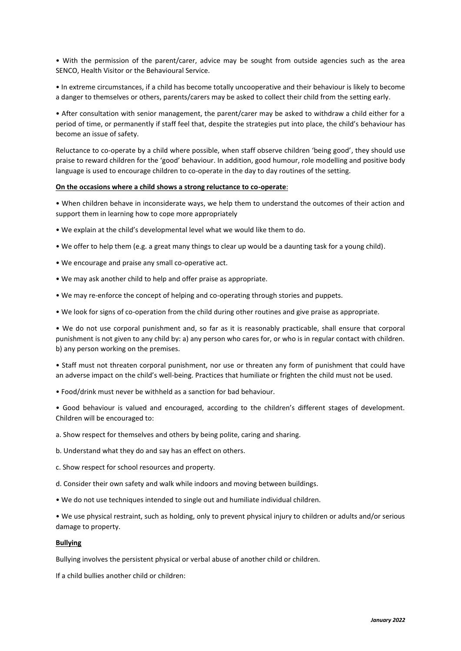• With the permission of the parent/carer, advice may be sought from outside agencies such as the area SENCO, Health Visitor or the Behavioural Service.

• In extreme circumstances, if a child has become totally uncooperative and their behaviour is likely to become a danger to themselves or others, parents/carers may be asked to collect their child from the setting early.

• After consultation with senior management, the parent/carer may be asked to withdraw a child either for a period of time, or permanently if staff feel that, despite the strategies put into place, the child's behaviour has become an issue of safety.

Reluctance to co-operate by a child where possible, when staff observe children 'being good', they should use praise to reward children for the 'good' behaviour. In addition, good humour, role modelling and positive body language is used to encourage children to co-operate in the day to day routines of the setting.

#### **On the occasions where a child shows a strong reluctance to co-operate**:

• When children behave in inconsiderate ways, we help them to understand the outcomes of their action and support them in learning how to cope more appropriately

- We explain at the child's developmental level what we would like them to do.
- We offer to help them (e.g. a great many things to clear up would be a daunting task for a young child).
- We encourage and praise any small co-operative act.
- We may ask another child to help and offer praise as appropriate.
- We may re-enforce the concept of helping and co-operating through stories and puppets.
- We look for signs of co-operation from the child during other routines and give praise as appropriate.

• We do not use corporal punishment and, so far as it is reasonably practicable, shall ensure that corporal punishment is not given to any child by: a) any person who cares for, or who is in regular contact with children. b) any person working on the premises.

• Staff must not threaten corporal punishment, nor use or threaten any form of punishment that could have an adverse impact on the child's well-being. Practices that humiliate or frighten the child must not be used.

• Food/drink must never be withheld as a sanction for bad behaviour.

• Good behaviour is valued and encouraged, according to the children's different stages of development. Children will be encouraged to:

- a. Show respect for themselves and others by being polite, caring and sharing.
- b. Understand what they do and say has an effect on others.
- c. Show respect for school resources and property.
- d. Consider their own safety and walk while indoors and moving between buildings.
- We do not use techniques intended to single out and humiliate individual children.

• We use physical restraint, such as holding, only to prevent physical injury to children or adults and/or serious damage to property.

#### **Bullying**

Bullying involves the persistent physical or verbal abuse of another child or children.

If a child bullies another child or children: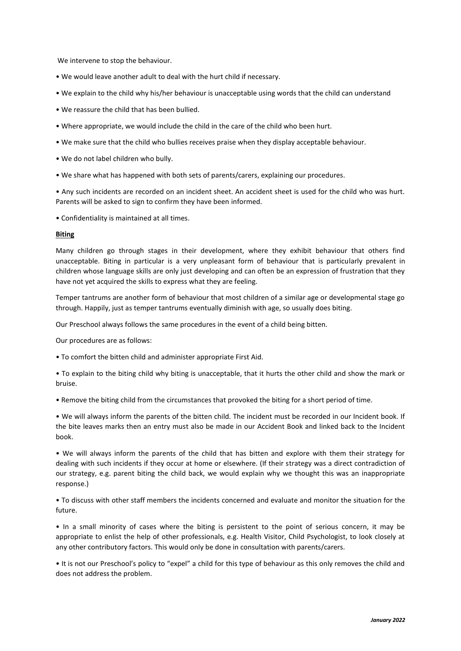We intervene to stop the behaviour.

- We would leave another adult to deal with the hurt child if necessary.
- We explain to the child why his/her behaviour is unacceptable using words that the child can understand
- We reassure the child that has been bullied.
- Where appropriate, we would include the child in the care of the child who been hurt.
- We make sure that the child who bullies receives praise when they display acceptable behaviour.
- We do not label children who bully.
- We share what has happened with both sets of parents/carers, explaining our procedures.

• Any such incidents are recorded on an incident sheet. An accident sheet is used for the child who was hurt. Parents will be asked to sign to confirm they have been informed.

• Confidentiality is maintained at all times.

#### **Biting**

Many children go through stages in their development, where they exhibit behaviour that others find unacceptable. Biting in particular is a very unpleasant form of behaviour that is particularly prevalent in children whose language skills are only just developing and can often be an expression of frustration that they have not yet acquired the skills to express what they are feeling.

Temper tantrums are another form of behaviour that most children of a similar age or developmental stage go through. Happily, just as temper tantrums eventually diminish with age, so usually does biting.

Our Preschool always follows the same procedures in the event of a child being bitten.

Our procedures are as follows:

• To comfort the bitten child and administer appropriate First Aid.

• To explain to the biting child why biting is unacceptable, that it hurts the other child and show the mark or bruise.

• Remove the biting child from the circumstances that provoked the biting for a short period of time.

• We will always inform the parents of the bitten child. The incident must be recorded in our Incident book. If the bite leaves marks then an entry must also be made in our Accident Book and linked back to the Incident book.

• We will always inform the parents of the child that has bitten and explore with them their strategy for dealing with such incidents if they occur at home or elsewhere. (If their strategy was a direct contradiction of our strategy, e.g. parent biting the child back, we would explain why we thought this was an inappropriate response.)

• To discuss with other staff members the incidents concerned and evaluate and monitor the situation for the future.

• In a small minority of cases where the biting is persistent to the point of serious concern, it may be appropriate to enlist the help of other professionals, e.g. Health Visitor, Child Psychologist, to look closely at any other contributory factors. This would only be done in consultation with parents/carers.

• It is not our Preschool's policy to "expel" a child for this type of behaviour as this only removes the child and does not address the problem.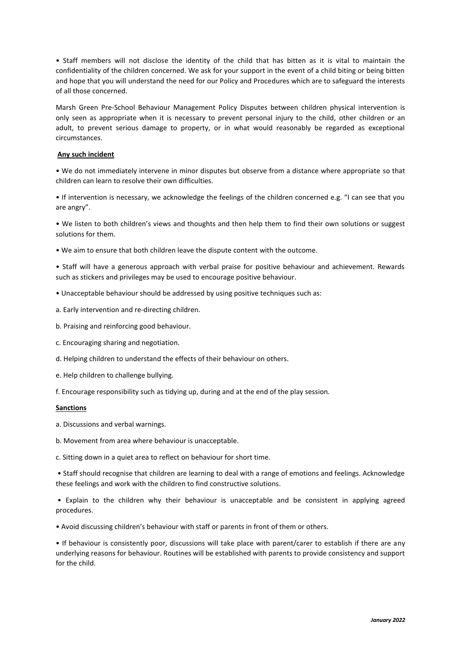• Staff members will not disclose the identity of the child that has bitten as it is vital to maintain the confidentiality of the children concerned. We ask for your support in the event of a child biting or being bitten and hope that you will understand the need for our Policy and Procedures which are to safeguard the interests of all those concerned.

Marsh Green Pre-School Behaviour Management Policy Disputes between children physical intervention is only seen as appropriate when it is necessary to prevent personal injury to the child, other children or an adult, to prevent serious damage to property, or in what would reasonably be regarded as exceptional circumstances.

#### **Any such incident**

• We do not immediately intervene in minor disputes but observe from a distance where appropriate so that children can learn to resolve their own difficulties.

• If intervention is necessary, we acknowledge the feelings of the children concerned e.g. "I can see that you are angry".

• We listen to both children's views and thoughts and then help them to find their own solutions or suggest solutions for them.

• We aim to ensure that both children leave the dispute content with the outcome.

• Staff will have a generous approach with verbal praise for positive behaviour and achievement. Rewards such as stickers and privileges may be used to encourage positive behaviour.

- Unacceptable behaviour should be addressed by using positive techniques such as:
- a. Early intervention and re-directing children.
- b. Praising and reinforcing good behaviour.
- c. Encouraging sharing and negotiation.
- d. Helping children to understand the effects of their behaviour on others.
- e. Help children to challenge bullying.
- f. Encourage responsibility such as tidying up, during and at the end of the play session.

#### **Sanctions**

- a. Discussions and verbal warnings.
- b. Movement from area where behaviour is unacceptable.
- c. Sitting down in a quiet area to reflect on behaviour for short time.

• Staff should recognise that children are learning to deal with a range of emotions and feelings. Acknowledge these feelings and work with the children to find constructive solutions.

• Explain to the children why their behaviour is unacceptable and be consistent in applying agreed procedures.

• Avoid discussing children's behaviour with staff or parents in front of them or others.

• If behaviour is consistently poor, discussions will take place with parent/carer to establish if there are any underlying reasons for behaviour. Routines will be established with parents to provide consistency and support for the child.